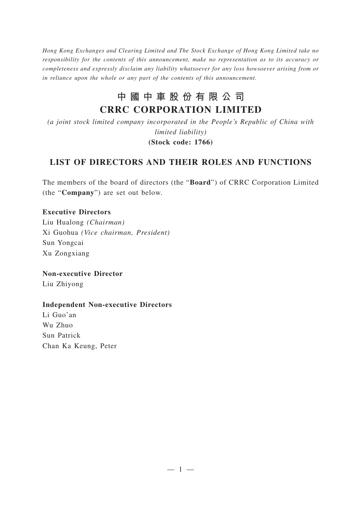*Hong Kong Exchanges and Clearing Limited and The Stock Exchange of Hong Kong Limited take no responsibility for the contents of this announcement, make no representation as to its accuracy or completeness and expressly disclaim any liability whatsoever for any loss howsoever arising from or in reliance upon the whole or any part of the contents of this announcement.*

## **中國中車股份有限公司 CRRC CORPORATION LIMITED**

*(a joint stock limited company incorporated in the People's Republic of China with limited liability)*

**(Stock code: 1766)**

## **LIST OF DIRECTORS AND THEIR ROLES AND FUNCTIONS**

The members of the board of directors (the "**Board**") of CRRC Corporation Limited (the "**Company**") are set out below.

## **Executive Directors**

Liu Hualong *(Chairman)* Xi Guohua *(Vice chairman, President)* Sun Yongcai Xu Zongxiang

**Non-executive Director**

Liu Zhiyong

## **Independent Non-executive Directors**

Li Guo'an Wu Zhuo Sun Patrick Chan Ka Keung, Peter